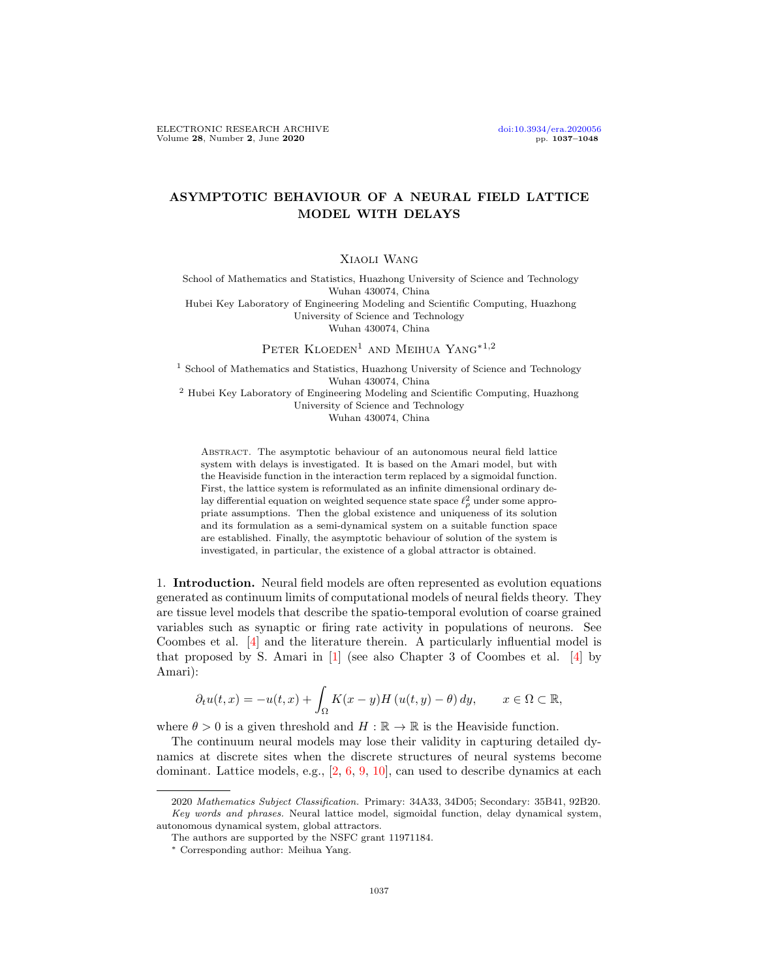## ASYMPTOTIC BEHAVIOUR OF A NEURAL FIELD LATTICE MODEL WITH DELAYS

## Xiaoli Wang

School of Mathematics and Statistics, Huazhong University of Science and Technology Wuhan 430074, China Hubei Key Laboratory of Engineering Modeling and Scientific Computing, Huazhong University of Science and Technology Wuhan 430074, China

PETER KLOEDEN<sup>1</sup> AND MEIHUA YANG<sup>\*1,2</sup>

<sup>1</sup> School of Mathematics and Statistics, Huazhong University of Science and Technology Wuhan 430074, China <sup>2</sup> Hubei Key Laboratory of Engineering Modeling and Scientific Computing, Huazhong

University of Science and Technology

Wuhan 430074, China

Abstract. The asymptotic behaviour of an autonomous neural field lattice system with delays is investigated. It is based on the Amari model, but with the Heaviside function in the interaction term replaced by a sigmoidal function. First, the lattice system is reformulated as an infinite dimensional ordinary delay differential equation on weighted sequence state space  $\ell_\rho^2$  under some appropriate assumptions. Then the global existence and uniqueness of its solution and its formulation as a semi-dynamical system on a suitable function space are established. Finally, the asymptotic behaviour of solution of the system is investigated, in particular, the existence of a global attractor is obtained.

1. Introduction. Neural field models are often represented as evolution equations generated as continuum limits of computational models of neural fields theory. They are tissue level models that describe the spatio-temporal evolution of coarse grained variables such as synaptic or firing rate activity in populations of neurons. See Coombes et al. [\[4\]](#page-11-0) and the literature therein. A particularly influential model is that proposed by S. Amari in  $[1]$  (see also Chapter 3 of Coombes et al.  $[4]$  by Amari):

$$
\partial_t u(t,x) = -u(t,x) + \int_{\Omega} K(x-y)H(u(t,y) - \theta) dy, \qquad x \in \Omega \subset \mathbb{R},
$$

where  $\theta > 0$  is a given threshold and  $H : \mathbb{R} \to \mathbb{R}$  is the Heaviside function.

The continuum neural models may lose their validity in capturing detailed dynamics at discrete sites when the discrete structures of neural systems become dominant. Lattice models, e.g., [\[2,](#page-11-2) [6,](#page-11-3) [9,](#page-11-4) [10\]](#page-11-5), can used to describe dynamics at each

<sup>2020</sup> Mathematics Subject Classification. Primary: 34A33, 34D05; Secondary: 35B41, 92B20. Key words and phrases. Neural lattice model, sigmoidal function, delay dynamical system, autonomous dynamical system, global attractors.

The authors are supported by the NSFC grant 11971184.

<sup>∗</sup> Corresponding author: Meihua Yang.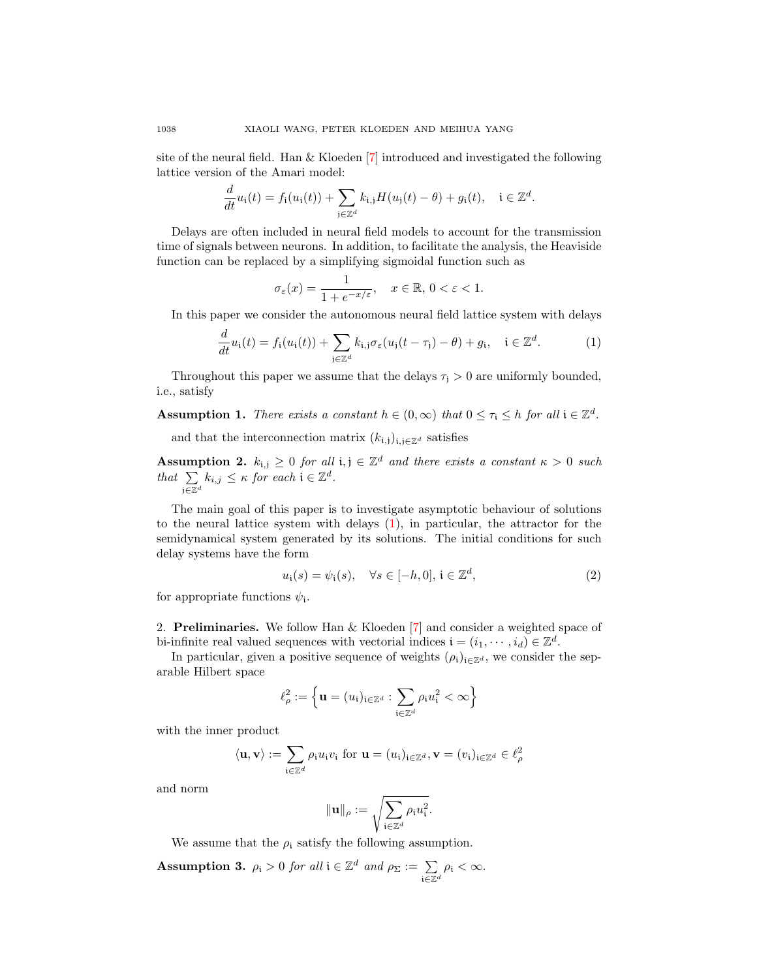site of the neural field. Han  $&$  Kloeden [\[7\]](#page-11-6) introduced and investigated the following lattice version of the Amari model:

$$
\frac{d}{dt}u_i(t) = f_i(u_i(t)) + \sum_{j \in \mathbb{Z}^d} k_{i,j}H(u_j(t) - \theta) + g_i(t), \quad i \in \mathbb{Z}^d.
$$

Delays are often included in neural field models to account for the transmission time of signals between neurons. In addition, to facilitate the analysis, the Heaviside function can be replaced by a simplifying sigmoidal function such as

$$
\sigma_{\varepsilon}(x) = \frac{1}{1 + e^{-x/\varepsilon}}, \quad x \in \mathbb{R}, \, 0 < \varepsilon < 1.
$$

In this paper we consider the autonomous neural field lattice system with delays

<span id="page-1-0"></span>
$$
\frac{d}{dt}u_i(t) = f_i(u_i(t)) + \sum_{j \in \mathbb{Z}^d} k_{i,j} \sigma_{\varepsilon}(u_j(t - \tau_j) - \theta) + g_i, \quad i \in \mathbb{Z}^d.
$$
 (1)

Throughout this paper we assume that the delays  $\tau_i > 0$  are uniformly bounded, i.e., satisfy

<span id="page-1-2"></span>**Assumption 1.** There exists a constant  $h \in (0, \infty)$  that  $0 \leq \tau_i \leq h$  for all  $i \in \mathbb{Z}^d$ .

and that the interconnection matrix  $(k_{i,j})_{i,j\in\mathbb{Z}^d}$  satisfies

<span id="page-1-3"></span>**Assumption 2.**  $k_{i,j} \geq 0$  for all  $i, j \in \mathbb{Z}^d$  and there exists a constant  $\kappa > 0$  such that  $\Sigma$ j $\overline{\in} \mathbb{Z}^d$  $k_{i,j} \leq \kappa$  for each  $i \in \mathbb{Z}^d$ .

The main goal of this paper is to investigate asymptotic behaviour of solutions to the neural lattice system with delays [\(1\)](#page-1-0), in particular, the attractor for the semidynamical system generated by its solutions. The initial conditions for such delay systems have the form

<span id="page-1-1"></span>
$$
u_i(s) = \psi_i(s), \quad \forall s \in [-h, 0], \, i \in \mathbb{Z}^d,
$$
\n
$$
(2)
$$

for appropriate functions  $\psi_i$ .

2. Preliminaries. We follow Han & Kloeden [\[7\]](#page-11-6) and consider a weighted space of bi-infinite real valued sequences with vectorial indices  $\mathbf{i} = (i_1, \dots, i_d) \in \mathbb{Z}^d$ .

In particular, given a positive sequence of weights  $(\rho_i)_{i\in\mathbb{Z}^d}$ , we consider the separable Hilbert space

$$
\ell_\rho^2:=\Big\{\mathbf{u}=(u_{\mathfrak{i}})_{\mathfrak{i}\in\mathbb{Z}^d}:\sum_{\mathfrak{i}\in\mathbb{Z}^d}\rho_{\mathfrak{i}}u_{\mathfrak{i}}^2<\infty\Big\}
$$

with the inner product

$$
\langle \mathbf{u}, \mathbf{v} \rangle := \sum_{\mathbf{i} \in \mathbb{Z}^d} \rho_{\mathbf{i}} u_{\mathbf{i}} v_{\mathbf{i}}
$$
 for  $\mathbf{u} = (u_{\mathbf{i}})_{\mathbf{i} \in \mathbb{Z}^d}, \mathbf{v} = (v_{\mathbf{i}})_{\mathbf{i} \in \mathbb{Z}^d} \in \ell^2_{\rho}$ 

and norm

$$
\|\mathbf{u}\|_{\rho} := \sqrt{\sum_{\mathbf{i} \in \mathbb{Z}^d} \rho_{\mathbf{i}} u_{\mathbf{i}}^2}.
$$

We assume that the  $\rho_i$  satisfy the following assumption.

<span id="page-1-4"></span>**Assumption 3.**  $\rho_i > 0$  for all  $i \in \mathbb{Z}^d$  and  $\rho_{\Sigma} := \sum$  $\mathfrak{i}\overline{\in}\mathbb{Z}^d$  $\rho_{\rm i} < \infty$ .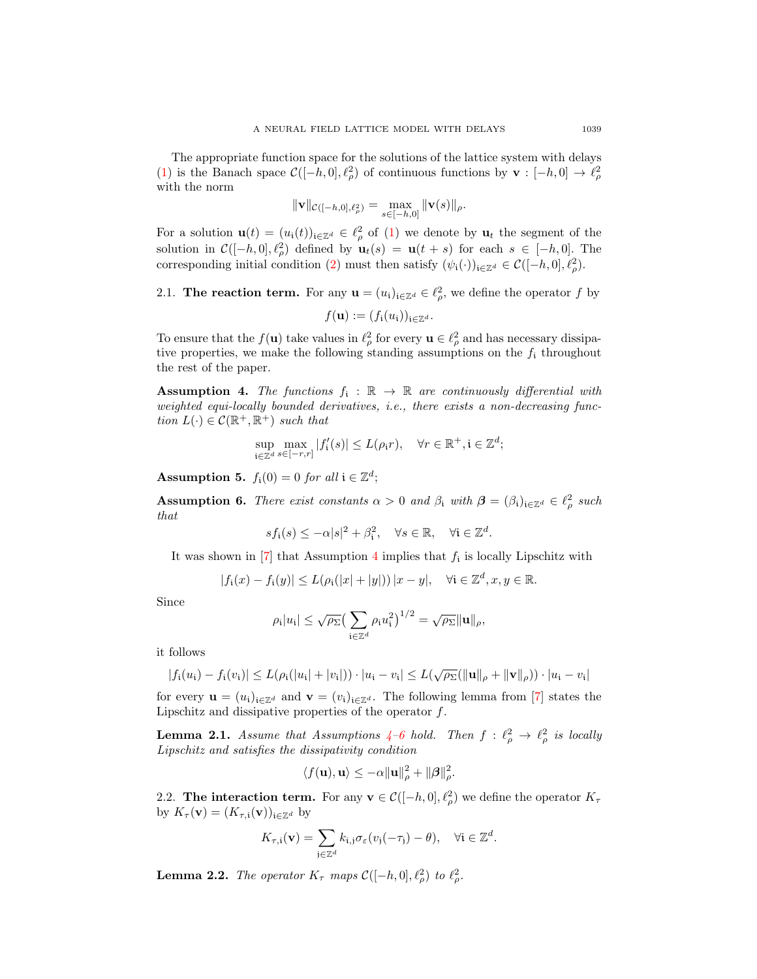The appropriate function space for the solutions of the lattice system with delays [\(1\)](#page-1-0) is the Banach space  $\mathcal{C}([-h, 0], \ell_\rho^2)$  of continuous functions by  $\mathbf{v} : [-h, 0] \to \ell_\rho^2$ with the norm

$$
\|\mathbf{v}\|_{\mathcal{C}([-h,0],\ell_{\rho}^{2})}=\max_{s\in[-h,0]}\|\mathbf{v}(s)\|_{\rho}.
$$

For a solution  $\mathbf{u}(t) = (u_i(t))_{i \in \mathbb{Z}^d} \in \ell^2_\rho$  of [\(1\)](#page-1-0) we denote by  $\mathbf{u}_t$  the segment of the solution in  $\mathcal{C}([-h, 0], \ell_\rho^2)$  defined by  $\mathbf{u}_t(s) = \mathbf{u}(t + s)$  for each  $s \in [-h, 0]$ . The corresponding initial condition [\(2\)](#page-1-1) must then satisfy  $(\psi_i(\cdot))_{i\in\mathbb{Z}^d} \in C([-h, 0], \ell_\rho^2)$ .

# 2.1. The reaction term. For any  $\mathbf{u} = (u_i)_{i \in \mathbb{Z}^d} \in \ell^2_\rho$ , we define the operator f by  $f(\mathbf{u}) := (f_i(u_i))_{i \in \mathbb{Z}^d}.$

To ensure that the  $f(\mathbf{u})$  take values in  $\ell_\rho^2$  for every  $\mathbf{u} \in \ell_\rho^2$  and has necessary dissipative properties, we make the following standing assumptions on the  $f_i$  throughout the rest of the paper.

<span id="page-2-0"></span>**Assumption 4.** The functions  $f_i : \mathbb{R} \to \mathbb{R}$  are continuously differential with weighted equi-locally bounded derivatives, i.e., there exists a non-decreasing function  $L(\cdot) \in \mathcal{C}(\mathbb{R}^+, \mathbb{R}^+)$  such that

$$
\sup_{\mathbf{i}\in\mathbb{Z}^d}\max_{s\in[-r,r]}|f'_\mathbf{i}(s)|\leq L(\rho_\mathbf{i} r),\quad\forall r\in\mathbb{R}^+, \mathbf{i}\in\mathbb{Z}^d;
$$

<span id="page-2-2"></span>**Assumption 5.**  $f_i(0) = 0$  for all  $i \in \mathbb{Z}^d$ ;

<span id="page-2-1"></span>**Assumption 6.** There exist constants  $\alpha > 0$  and  $\beta_i$  with  $\boldsymbol{\beta} = (\beta_i)_{i \in \mathbb{Z}^d} \in \ell^2_{\rho}$  such that

$$
sf_i(s) \le -\alpha |s|^2 + \beta_i^2, \quad \forall s \in \mathbb{R}, \quad \forall i \in \mathbb{Z}^d.
$$

It was shown in [\[7\]](#page-11-6) that Assumption [4](#page-2-0) implies that  $f_i$  is locally Lipschitz with

$$
|f_i(x) - f_i(y)| \le L(\rho_i(|x| + |y|)) |x - y|, \quad \forall i \in \mathbb{Z}^d, x, y \in \mathbb{R}.
$$

Since

$$
\rho_{\mathfrak{i}}|u_{\mathfrak{i}}| \leq \sqrt{\rho_{\Sigma}} \big(\sum_{\mathfrak{i}\in\mathbb{Z}^d} \rho_{\mathfrak{i}} u_{\mathfrak{i}}^2\big)^{1/2} = \sqrt{\rho_{\Sigma}} \|\mathbf{u}\|_{\rho},
$$

it follows

$$
|f_i(u_i) - f_i(v_i)| \le L(\rho_i(|u_i| + |v_i|)) \cdot |u_i - v_i| \le L(\sqrt{\rho_{\Sigma}}(||\mathbf{u}||_{\rho} + ||\mathbf{v}||_{\rho})) \cdot |u_i - v_i|
$$

for every  $\mathbf{u} = (u_i)_{i \in \mathbb{Z}^d}$  and  $\mathbf{v} = (v_i)_{i \in \mathbb{Z}^d}$ . The following lemma from [\[7\]](#page-11-6) states the Lipschitz and dissipative properties of the operator  $f$ .

**Lemma 2.1.** Assume that Assumptions  $4-6$  $4-6$  hold. Then  $f : \ell_\rho^2 \to \ell_\rho^2$  is locally Lipschitz and satisfies the dissipativity condition

$$
\langle f(\mathbf{u}), \mathbf{u} \rangle \le -\alpha \|\mathbf{u}\|_{\rho}^2 + \|\boldsymbol{\beta}\|_{\rho}^2.
$$

2.2. The interaction term. For any  $\mathbf{v} \in \mathcal{C}([-h, 0], \ell_\rho^2)$  we define the operator  $K_\tau$ by  $K_{\tau}(\mathbf{v}) = (K_{\tau,i}(\mathbf{v}))_{i \in \mathbb{Z}^d}$  by

$$
K_{\tau,i}(\mathbf{v}) = \sum_{\mathfrak{j} \in \mathbb{Z}^d} k_{\mathfrak{i},\mathfrak{j}} \sigma_{\varepsilon}(v_{\mathfrak{j}}(-\tau_{\mathfrak{j}}) - \theta), \quad \forall \mathfrak{i} \in \mathbb{Z}^d.
$$

**Lemma 2.2.** The operator  $K_{\tau}$  maps  $\mathcal{C}([-h, 0], \ell_{\rho}^2)$  to  $\ell_{\rho}^2$ .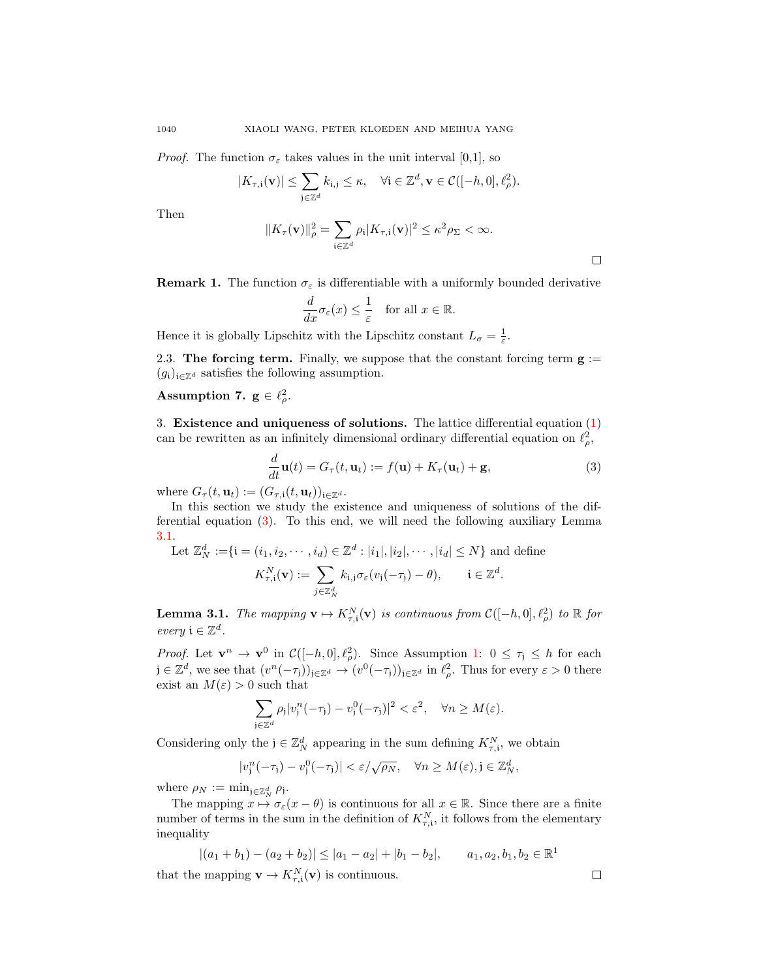*Proof.* The function  $\sigma_{\varepsilon}$  takes values in the unit interval [0,1], so

$$
|K_{\tau,i}(\mathbf{v})| \leq \sum_{\mathbf{j} \in \mathbb{Z}^d} k_{\mathbf{i},\mathbf{j}} \leq \kappa, \quad \forall \mathbf{i} \in \mathbb{Z}^d, \mathbf{v} \in \mathcal{C}([-h,0],\ell_\rho^2).
$$

Then

$$
||K_{\tau}(\mathbf{v})||_{\rho}^{2} = \sum_{\mathbf{i} \in \mathbb{Z}^{d}} \rho_{\mathbf{i}} |K_{\tau,\mathbf{i}}(\mathbf{v})|^{2} \leq \kappa^{2} \rho_{\Sigma} < \infty.
$$

**Remark 1.** The function  $\sigma_{\varepsilon}$  is differentiable with a uniformly bounded derivative

$$
\frac{d}{dx}\sigma_{\varepsilon}(x) \le \frac{1}{\varepsilon} \quad \text{for all } x \in \mathbb{R}.
$$

Hence it is globally Lipschitz with the Lipschitz constant  $L_{\sigma} = \frac{1}{\varepsilon}$ .

2.3. The forcing term. Finally, we suppose that the constant forcing term  $g :=$  $(g_i)_{i\in\mathbb{Z}^d}$  satisfies the following assumption.

## <span id="page-3-2"></span>Assumption 7.  $g \in \ell^2_\rho$ .

3. Existence and uniqueness of solutions. The lattice differential equation  $(1)$ can be rewritten as an infinitely dimensional ordinary differential equation on  $\ell_{\rho}^2$ ,

<span id="page-3-0"></span>
$$
\frac{d}{dt}\mathbf{u}(t) = G_{\tau}(t, \mathbf{u}_t) := f(\mathbf{u}) + K_{\tau}(\mathbf{u}_t) + \mathbf{g},\tag{3}
$$

where  $G_{\tau}(t, \mathbf{u}_t) := (G_{\tau, \mathbf{i}}(t, \mathbf{u}_t))_{\mathbf{i} \in \mathbb{Z}^d}$ .

In this section we study the existence and uniqueness of solutions of the differential equation [\(3\)](#page-3-0). To this end, we will need the following auxiliary Lemma [3.1.](#page-3-1)

Let 
$$
\mathbb{Z}_N^d := \{ \mathbf{i} = (i_1, i_2, \dots, i_d) \in \mathbb{Z}^d : |i_1|, |i_2|, \dots, |i_d| \le N \}
$$
 and define  

$$
K_{\tau, \mathbf{i}}^N(\mathbf{v}) := \sum_{j \in \mathbb{Z}_N^d} k_{\mathbf{i}, j} \sigma_{\varepsilon}(v_j(-\tau_j) - \theta), \qquad \mathbf{i} \in \mathbb{Z}^d.
$$

<span id="page-3-1"></span>**Lemma 3.1.** The mapping  $\mathbf{v} \mapsto K_{\tau,i}^N(\mathbf{v})$  is continuous from  $\mathcal{C}([-h, 0], \ell_\rho^2)$  to  $\mathbb R$  for every  $\mathfrak{i} \in \mathbb{Z}^d$ .

*Proof.* Let  $\mathbf{v}^n \to \mathbf{v}^0$  in  $\mathcal{C}([-h, 0], \ell_\rho^2)$ . Since Assumption [1:](#page-1-2)  $0 \leq \tau_j \leq h$  for each  $j \in \mathbb{Z}^d$ , we see that  $(v^n(-\tau_j))_{j \in \mathbb{Z}^d} \to (v^0(-\tau_j))_{j \in \mathbb{Z}^d}$  in  $\ell_\rho^2$ . Thus for every  $\varepsilon > 0$  there exist an  $M(\varepsilon) > 0$  such that

$$
\sum_{j\in\mathbb{Z}^d} \rho_j |v_j^n(-\tau_j) - v_j^0(-\tau_j)|^2 < \varepsilon^2, \quad \forall n \ge M(\varepsilon).
$$

Considering only the  $j \in \mathbb{Z}_N^d$  appearing in the sum defining  $K_{\tau,i}^N$ , we obtain

$$
|v_j^n(-\tau_j)-v_j^0(-\tau_j)|<\varepsilon/\sqrt{\rho_N},\quad\forall n\geq M(\varepsilon),j\in\mathbb{Z}_N^d,
$$

where  $\rho_N := \min_{\mathbf{j} \in \mathbb{Z}_N^d} \rho_{\mathbf{j}}$ .

The mapping  $x \mapsto \sigma_{\varepsilon}(x - \theta)$  is continuous for all  $x \in \mathbb{R}$ . Since there are a finite number of terms in the sum in the definition of  $K_{\tau,i}^N$ , it follows from the elementary inequality

$$
|(a_1 + b_1) - (a_2 + b_2)| \le |a_1 - a_2| + |b_1 - b_2|,
$$
  $a_1, a_2, b_1, b_2 \in \mathbb{R}^1$   
that the mapping  $\mathbf{v} \to K_{\tau, \mathbf{i}}^N(\mathbf{v})$  is continuous.

 $\Box$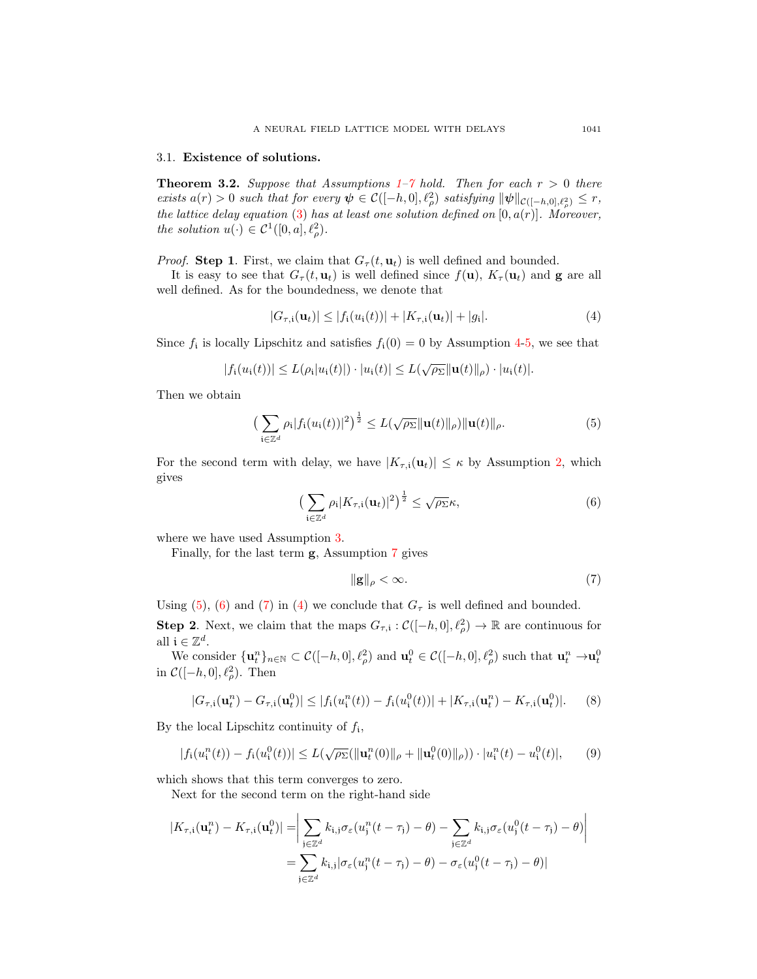### 3.1. Existence of solutions.

<span id="page-4-6"></span>**Theorem 3.2.** Suppose that Assumptions  $1-\gamma$  hold. Then for each  $r > 0$  there exists  $a(r) > 0$  such that for every  $\psi \in C([-h, 0], \ell_\rho^2)$  satisfying  $\|\psi\|_{C([-h, 0], \ell_\rho^2)} \leq r$ , the lattice delay equation [\(3\)](#page-3-0) has at least one solution defined on  $[0, a(r)]$ . Moreover, the solution  $u(\cdot) \in C^1([0,a], \ell_\rho^2)$ .

*Proof.* Step 1. First, we claim that  $G_{\tau}(t, \mathbf{u}_t)$  is well defined and bounded.

It is easy to see that  $G_{\tau}(t, \mathbf{u}_t)$  is well defined since  $f(\mathbf{u}), K_{\tau}(\mathbf{u}_t)$  and g are all well defined. As for the boundedness, we denote that

<span id="page-4-3"></span>
$$
|G_{\tau,i}(\mathbf{u}_t)| \le |f_i(u_i(t))| + |K_{\tau,i}(\mathbf{u}_t)| + |g_i|.
$$
 (4)

Since  $f_i$  is locally Lipschitz and satisfies  $f_i(0) = 0$  by Assumption [4-](#page-2-0)[5,](#page-2-2) we see that

$$
|f_i(u_i(t))| \leq L(\rho_i|u_i(t)|) \cdot |u_i(t)| \leq L(\sqrt{\rho_{\Sigma}} \|\mathbf{u}(t)\|_{\rho}) \cdot |u_i(t)|.
$$

Then we obtain

<span id="page-4-0"></span>
$$
\left(\sum_{\mathbf{i}\in\mathbb{Z}^d}\rho_{\mathbf{i}}|f_{\mathbf{i}}(u_{\mathbf{i}}(t))|^2\right)^{\frac{1}{2}}\leq L(\sqrt{\rho_{\Sigma}}\|\mathbf{u}(t)\|_{\rho})\|\mathbf{u}(t)\|_{\rho}.
$$
\n(5)

For the second term with delay, we have  $|K_{\tau,i}(\mathbf{u}_t)| \leq \kappa$  by Assumption [2,](#page-1-3) which gives

<span id="page-4-1"></span>
$$
\left(\sum_{\mathbf{i}\in\mathbb{Z}^d} \rho_{\mathbf{i}} |K_{\tau,\mathbf{i}}(\mathbf{u}_t)|^2\right)^{\frac{1}{2}} \leq \sqrt{\rho_{\Sigma}}\kappa,\tag{6}
$$

where we have used Assumption [3.](#page-1-4)

Finally, for the last term g, Assumption [7](#page-3-2) gives

<span id="page-4-2"></span>
$$
\|\mathbf{g}\|_{\rho} < \infty. \tag{7}
$$

Using [\(5\)](#page-4-0), [\(6\)](#page-4-1) and [\(7\)](#page-4-2) in [\(4\)](#page-4-3) we conclude that  $G<sub>\tau</sub>$  is well defined and bounded.

**Step 2.** Next, we claim that the maps  $G_{\tau,i} : \mathcal{C}([-h,0], \ell_\rho^2) \to \mathbb{R}$  are continuous for all  $\mathfrak{i} \in \mathbb{Z}^d$ .

We consider  $\{\mathbf u_t^n\}_{n\in\mathbb N}\subset\mathcal C([-h,0],\ell_\rho^2)$  and  $\mathbf u_t^0\in\mathcal C([-h,0],\ell_\rho^2)$  such that  $\mathbf u_t^n\to\mathbf u_t^0$ in  $\mathcal{C}([-h, 0], \ell_\rho^2)$ . Then

<span id="page-4-5"></span>
$$
|G_{\tau,i}(\mathbf{u}_t^n) - G_{\tau,i}(\mathbf{u}_t^0)| \le |f_i(u_i^n(t)) - f_i(u_i^0(t))| + |K_{\tau,i}(\mathbf{u}_t^n) - K_{\tau,i}(\mathbf{u}_t^0)|. \tag{8}
$$

By the local Lipschitz continuity of  $f_i$ ,

<span id="page-4-4"></span>
$$
|f_i(u_i^n(t)) - f_i(u_i^0(t))| \le L(\sqrt{\rho_\Sigma}(\|\mathbf{u}_t^n(0)\|_{\rho} + \|\mathbf{u}_t^0(0)\|_{\rho})) \cdot |u_i^n(t) - u_i^0(t)|,
$$
 (9)

which shows that this term converges to zero.

Next for the second term on the right-hand side

$$
|K_{\tau,i}(\mathbf{u}_t^n) - K_{\tau,i}(\mathbf{u}_t^0)| = \bigg|\sum_{\mathbf{j}\in\mathbb{Z}^d} k_{\mathbf{i},\mathbf{j}}\sigma_{\varepsilon}(u_{\mathbf{j}}^n(t-\tau_{\mathbf{j}}) - \theta) - \sum_{\mathbf{j}\in\mathbb{Z}^d} k_{\mathbf{i},\mathbf{j}}\sigma_{\varepsilon}(u_{\mathbf{j}}^0(t-\tau_{\mathbf{j}}) - \theta)\bigg|
$$
  
= 
$$
\sum_{\mathbf{j}\in\mathbb{Z}^d} k_{\mathbf{i},\mathbf{j}}|\sigma_{\varepsilon}(u_{\mathbf{j}}^n(t-\tau_{\mathbf{j}}) - \theta) - \sigma_{\varepsilon}(u_{\mathbf{j}}^0(t-\tau_{\mathbf{j}}) - \theta)|
$$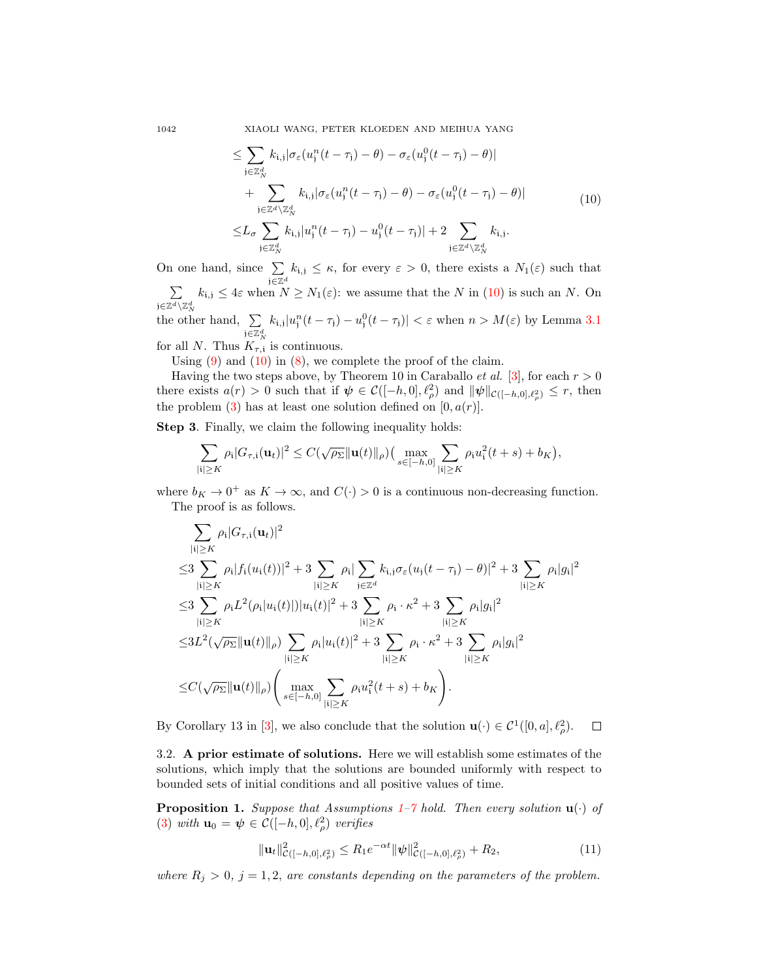1042 XIAOLI WANG, PETER KLOEDEN AND MEIHUA YANG

$$
\leq \sum_{\mathbf{j}\in\mathbb{Z}_{N}^{d}} k_{\mathbf{i},\mathbf{j}} |\sigma_{\varepsilon}(u_{\mathbf{j}}^{n}(t-\tau_{\mathbf{j}})-\theta) - \sigma_{\varepsilon}(u_{\mathbf{j}}^{0}(t-\tau_{\mathbf{j}})-\theta)|
$$
  
+ 
$$
\sum_{\mathbf{j}\in\mathbb{Z}^{d}\setminus\mathbb{Z}_{N}^{d}} k_{\mathbf{i},\mathbf{j}} |\sigma_{\varepsilon}(u_{\mathbf{j}}^{n}(t-\tau_{\mathbf{j}})-\theta) - \sigma_{\varepsilon}(u_{\mathbf{j}}^{0}(t-\tau_{\mathbf{j}})-\theta)|
$$
  

$$
\leq L_{\sigma} \sum_{\mathbf{j}\in\mathbb{Z}_{N}^{d}} k_{\mathbf{i},\mathbf{j}} |u_{\mathbf{j}}^{n}(t-\tau_{\mathbf{j}})-u_{\mathbf{j}}^{0}(t-\tau_{\mathbf{j}})| + 2 \sum_{\mathbf{j}\in\mathbb{Z}^{d}\setminus\mathbb{Z}_{N}^{d}} k_{\mathbf{i},\mathbf{j}}.
$$
 (10)

On one hand, since  $\Sigma$ j∈Z<sup>d</sup>  $k_{i,j} \leq \kappa$ , for every  $\varepsilon > 0$ , there exists a  $N_1(\varepsilon)$  such that  $\sum$  $\mathfrak{j} \in \mathbb{Z}^d \backslash \mathbb{Z}_N^d$  $k_{i,j} \leq 4\varepsilon$  when  $N \geq N_1(\varepsilon)$ : we assume that the N in [\(10\)](#page-5-0) is such an N. On the other hand,  $\Sigma$ j $\in \mathbb{Z}_N^d$  $k_{i,j}|u_j^n(t-\tau_j)-u_j^0(t-\tau_j)| < \varepsilon$  when  $n > M(\varepsilon)$  by Lemma [3.1](#page-3-1) for all N. Thus  $K_{\tau,i}$  is continuous.

Using  $(9)$  and  $(10)$  in  $(8)$ , we complete the proof of the claim.

Having the two steps above, by Theorem 10 in Caraballo *et al.* [\[3\]](#page-11-7), for each  $r > 0$ there exists  $a(r) > 0$  such that if  $\psi \in C([-h, 0], \ell_\rho^2)$  and  $\|\psi\|_{\mathcal{C}([-h, 0], \ell_\rho^2)} \leq r$ , then the problem  $(3)$  has at least one solution defined on  $[0, a(r)]$ .

Step 3. Finally, we claim the following inequality holds:

$$
\sum_{|i|\geq K} \rho_i |G_{\tau,i}(\mathbf{u}_t)|^2 \leq C(\sqrt{\rho_{\Sigma}} \|\mathbf{u}(t)\|_{\rho}) \big(\max_{s\in[-h,0]}\sum_{|i|\geq K} \rho_i u_i^2(t+s)+b_K\big),
$$

where  $b_K \to 0^+$  as  $K \to \infty$ , and  $C(\cdot) > 0$  is a continuous non-decreasing function. The proof is as follows.

$$
\sum_{\substack{|i| \geq K}} \rho_i |G_{\tau,i}(\mathbf{u}_t)|^2
$$
  
\n
$$
\leq 3 \sum_{\substack{|i| \geq K}} \rho_i |f_i(u_i(t))|^2 + 3 \sum_{\substack{|i| \geq K}} \rho_i |\sum_{j \in \mathbb{Z}^d} k_{i,j} \sigma_{\varepsilon}(u_j(t-\tau_j) - \theta)|^2 + 3 \sum_{\substack{|i| \geq K}} \rho_i |g_i|^2
$$
  
\n
$$
\leq 3 \sum_{\substack{|i| \geq K}} \rho_i L^2(\rho_i |u_i(t)|) |u_i(t)|^2 + 3 \sum_{\substack{|i| \geq K}} \rho_i \cdot \kappa^2 + 3 \sum_{\substack{|i| \geq K}} \rho_i |g_i|^2
$$
  
\n
$$
\leq 3L^2(\sqrt{\rho_{\Sigma}} ||\mathbf{u}(t)||_{\rho}) \sum_{\substack{|i| \geq K}} \rho_i |u_i(t)|^2 + 3 \sum_{\substack{|i| \geq K}} \rho_i \cdot \kappa^2 + 3 \sum_{\substack{|i| \geq K}} \rho_i |g_i|^2
$$
  
\n
$$
\leq C(\sqrt{\rho_{\Sigma}} ||\mathbf{u}(t)||_{\rho}) \left( \max_{s \in [-h,0]} \sum_{\substack{|i| \geq K}} \rho_i u_i^2(t+s) + b_K \right).
$$

By Corollary 13 in [\[3\]](#page-11-7), we also conclude that the solution  $\mathbf{u}(\cdot) \in C^1([0, a], \ell_\rho^2)$ .  $\Box$ 

3.2. A prior estimate of solutions. Here we will establish some estimates of the solutions, which imply that the solutions are bounded uniformly with respect to bounded sets of initial conditions and all positive values of time.

<span id="page-5-1"></span>**Proposition [1](#page-1-2).** Suppose that Assumptions  $1-\gamma$  hold. Then every solution  $\mathbf{u}(\cdot)$  of [\(3\)](#page-3-0) with  $\mathbf{u}_0 = \boldsymbol{\psi} \in \mathcal{C}([-h, 0], \ell_\rho^2)$  verifies

<span id="page-5-2"></span>
$$
\|\mathbf{u}_t\|_{\mathcal{C}([-h,0],\ell^2_{\rho})}^2 \le R_1 e^{-\alpha t} \|\psi\|_{\mathcal{C}([-h,0],\ell^2_{\rho})}^2 + R_2,
$$
\n(11)

where  $R_j > 0$ ,  $j = 1, 2$ , are constants depending on the parameters of the problem.

<span id="page-5-0"></span>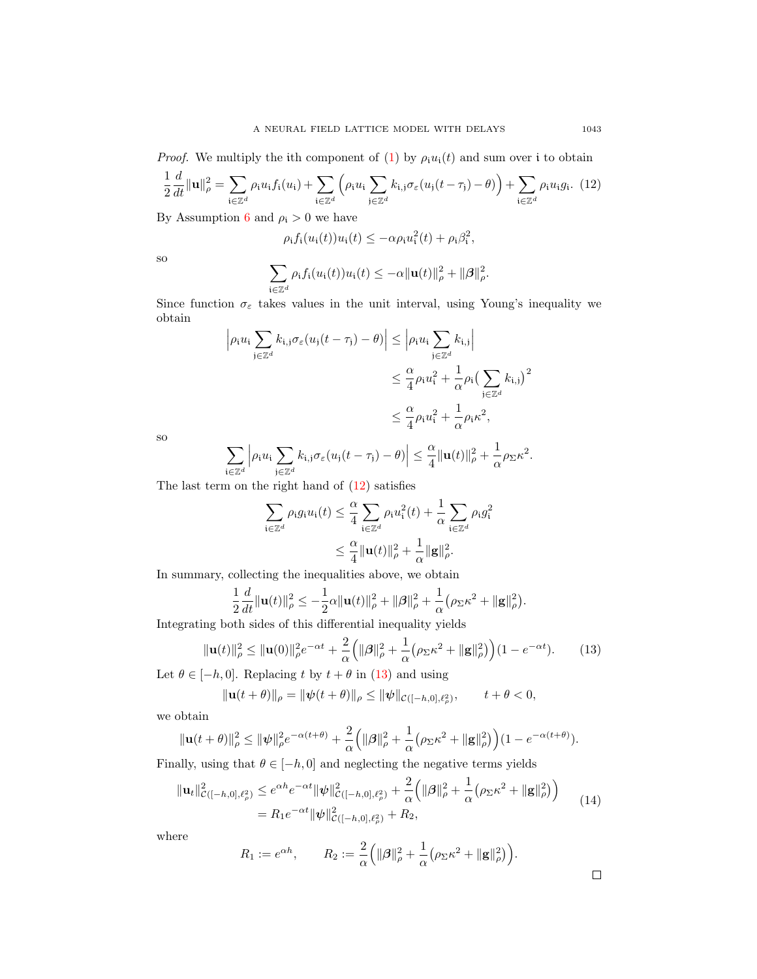*Proof.* We multiply the ith component of [\(1\)](#page-1-0) by  $\rho_i u_i(t)$  and sum over i to obtain

<span id="page-6-0"></span>
$$
\frac{1}{2}\frac{d}{dt}\|\mathbf{u}\|_{\rho}^{2} = \sum_{\mathbf{i}\in\mathbb{Z}^{d}} \rho_{\mathbf{i}}u_{\mathbf{i}}f_{\mathbf{i}}(u_{\mathbf{i}}) + \sum_{\mathbf{i}\in\mathbb{Z}^{d}} \left(\rho_{\mathbf{i}}u_{\mathbf{i}}\sum_{\mathbf{j}\in\mathbb{Z}^{d}} k_{\mathbf{i},\mathbf{j}}\sigma_{\varepsilon}(u_{\mathbf{j}}(t-\tau_{\mathbf{j}})-\theta)\right) + \sum_{\mathbf{i}\in\mathbb{Z}^{d}} \rho_{\mathbf{i}}u_{\mathbf{i}}g_{\mathbf{i}}.
$$
(12)

By Assumption [6](#page-2-1) and  $\rho_i > 0$  we have

$$
\rho_i f_i(u_i(t))u_i(t) \le -\alpha \rho_i u_i^2(t) + \rho_i \beta_i^2,
$$

so

$$
\sum_{\mathbf{i}\in\mathbb{Z}^d}\rho_{\mathbf{i}}f_{\mathbf{i}}(u_{\mathbf{i}}(t))u_{\mathbf{i}}(t)\leq-\alpha\|\mathbf{u}(t)\|_{\rho}^2+\|\boldsymbol{\beta}\|_{\rho}^2.
$$

Since function  $\sigma_{\varepsilon}$  takes values in the unit interval, using Young's inequality we obtain

$$
\left| \rho_i u_i \sum_{j \in \mathbb{Z}^d} k_{i,j} \sigma_{\varepsilon} (u_j (t - \tau_j) - \theta) \right| \leq \left| \rho_i u_i \sum_{j \in \mathbb{Z}^d} k_{i,j} \right|
$$
  

$$
\leq \frac{\alpha}{4} \rho_i u_i^2 + \frac{1}{\alpha} \rho_i \left( \sum_{j \in \mathbb{Z}^d} k_{i,j} \right)^2
$$
  

$$
\leq \frac{\alpha}{4} \rho_i u_i^2 + \frac{1}{\alpha} \rho_i \kappa^2,
$$

so

$$
\sum_{\mathbf{i}\in\mathbb{Z}^d}\left|\rho_\mathbf{i}u_\mathbf{i}\sum_{\mathbf{j}\in\mathbb{Z}^d}k_{\mathbf{i},\mathbf{j}}\sigma_\varepsilon(u_\mathbf{j}(t-\tau_\mathbf{j})-\theta)\right|\leq \frac{\alpha}{4}\|\mathbf{u}(t)\|_{\rho}^2+\frac{1}{\alpha}\rho_{\Sigma}\kappa^2.
$$

The last term on the right hand of [\(12\)](#page-6-0) satisfies

$$
\sum_{\mathbf{i}\in\mathbb{Z}^d} \rho_{\mathbf{i}} g_{\mathbf{i}} u_{\mathbf{i}}(t) \leq \frac{\alpha}{4} \sum_{\mathbf{i}\in\mathbb{Z}^d} \rho_{\mathbf{i}} u_{\mathbf{i}}^2(t) + \frac{1}{\alpha} \sum_{\mathbf{i}\in\mathbb{Z}^d} \rho_{\mathbf{i}} g_{\mathbf{i}}^2
$$

$$
\leq \frac{\alpha}{4} ||\mathbf{u}(t)||^2_{\rho} + \frac{1}{\alpha} ||\mathbf{g}||^2_{\rho}.
$$

In summary, collecting the inequalities above, we obtain

$$
\frac{1}{2}\frac{d}{dt}\|\mathbf{u}(t)\|_{\rho}^{2} \leq -\frac{1}{2}\alpha\|\mathbf{u}(t)\|_{\rho}^{2} + \|\boldsymbol{\beta}\|_{\rho}^{2} + \frac{1}{\alpha}\left(\rho_{\Sigma}\kappa^{2} + \|\mathbf{g}\|_{\rho}^{2}\right)
$$

Integrating both sides of this differential inequality yields

<span id="page-6-1"></span>
$$
\|\mathbf{u}(t)\|_{\rho}^{2} \le \|\mathbf{u}(0)\|_{\rho}^{2} e^{-\alpha t} + \frac{2}{\alpha} \left( \|\beta\|_{\rho}^{2} + \frac{1}{\alpha} \left( \rho_{\Sigma} \kappa^{2} + \|\mathbf{g}\|_{\rho}^{2} \right) \right) (1 - e^{-\alpha t}). \tag{13}
$$

.

Let  $\theta \in [-h, 0]$ . Replacing t by  $t + \theta$  in [\(13\)](#page-6-1) and using

$$
\|\mathbf{u}(t+\theta)\|_{\rho} = \|\psi(t+\theta)\|_{\rho} \le \|\psi\|_{\mathcal{C}([-h,0],\ell_{\rho}^2)}, \qquad t+\theta < 0,
$$

we obtain

$$
\|\mathbf{u}(t+\theta)\|_{\rho}^2 \le \|\psi\|_{\rho}^2 e^{-\alpha(t+\theta)} + \frac{2}{\alpha} \Big( \|\boldsymbol{\beta}\|_{\rho}^2 + \frac{1}{\alpha} \big( \rho_{\Sigma} \kappa^2 + \|\mathbf{g}\|_{\rho}^2 \big) \Big) (1 - e^{-\alpha(t+\theta)}).
$$

Finally, using that  $\theta \in [-h, 0]$  and neglecting the negative terms yields

<span id="page-6-2"></span>
$$
\|\mathbf{u}_{t}\|_{\mathcal{C}([-h,0],\ell_{\rho}^{2})}^{2} \leq e^{\alpha h} e^{-\alpha t} \|\psi\|_{\mathcal{C}([-h,0],\ell_{\rho}^{2})}^{2} + \frac{2}{\alpha} \Big( \|\beta\|_{\rho}^{2} + \frac{1}{\alpha} \big( \rho_{\Sigma} \kappa^{2} + \|\mathbf{g}\|_{\rho}^{2} \big) \Big) = R_{1} e^{-\alpha t} \|\psi\|_{\mathcal{C}([-h,0],\ell_{\rho}^{2})}^{2} + R_{2},
$$
\n(14)

where

$$
R_1 := e^{\alpha h}, \qquad R_2 := \frac{2}{\alpha} \left( \|\beta\|_{\rho}^2 + \frac{1}{\alpha} \left( \rho_{\Sigma} \kappa^2 + \|\mathbf{g}\|_{\rho}^2 \right) \right).
$$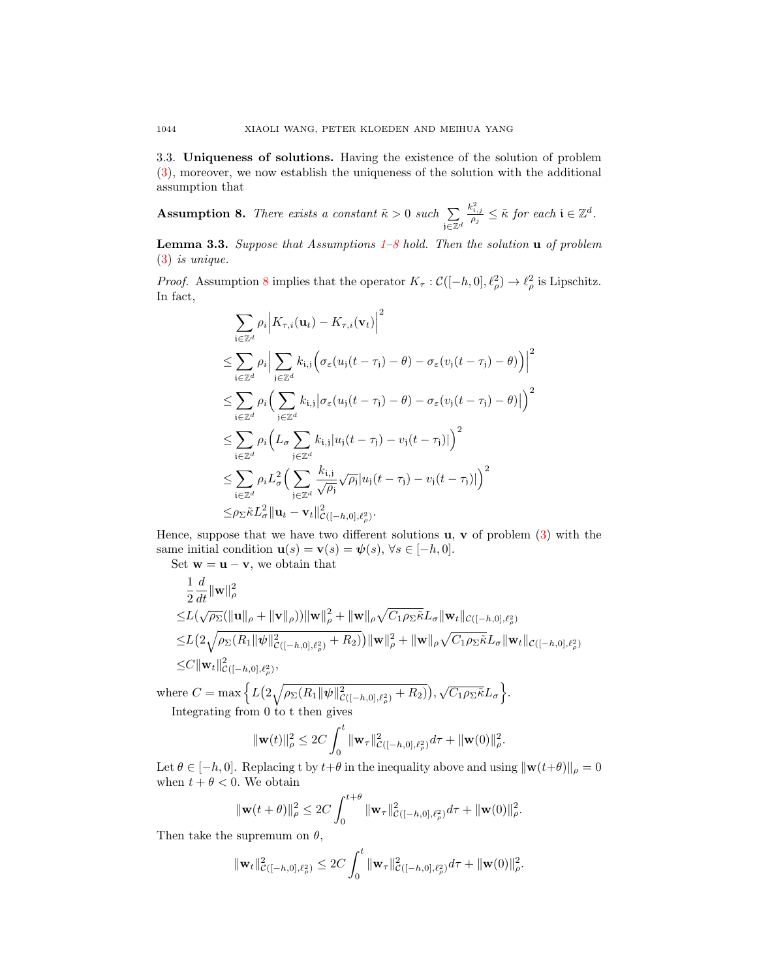3.3. Uniqueness of solutions. Having the existence of the solution of problem [\(3\)](#page-3-0), moreover, we now establish the uniqueness of the solution with the additional assumption that

<span id="page-7-0"></span>**Assumption 8.** There exists a constant  $\tilde{\kappa} > 0$  such  $\sum$ j∈Z<sup>d</sup>  $\frac{k_{i,j}^2}{\rho_j} \leq \tilde{\kappa}$  for each  $i \in \mathbb{Z}^d$ .

<span id="page-7-1"></span>**Lemma 3.3.** Suppose that Assumptions  $1-8$  $1-8$  hold. Then the solution **u** of problem [\(3\)](#page-3-0) is unique.

*Proof.* Assumption [8](#page-7-0) implies that the operator  $K_{\tau} : \mathcal{C}([-h, 0], \ell_{\rho}^2) \to \ell_{\rho}^2$  is Lipschitz. In fact,

$$
\sum_{\mathbf{i}\in\mathbb{Z}^d} \rho_i \Big| K_{\tau,i}(\mathbf{u}_t) - K_{\tau,i}(\mathbf{v}_t) \Big|^2
$$
\n
$$
\leq \sum_{\mathbf{i}\in\mathbb{Z}^d} \rho_i \Big| \sum_{\mathbf{j}\in\mathbb{Z}^d} k_{\mathbf{i},\mathbf{j}} \Big( \sigma_\varepsilon(u_\mathbf{j}(t-\tau_\mathbf{j}) - \theta) - \sigma_\varepsilon(v_\mathbf{j}(t-\tau_\mathbf{j}) - \theta) \Big) \Big|^2
$$
\n
$$
\leq \sum_{\mathbf{i}\in\mathbb{Z}^d} \rho_i \Big( \sum_{\mathbf{j}\in\mathbb{Z}^d} k_{\mathbf{i},\mathbf{j}} \Big| \sigma_\varepsilon(u_\mathbf{j}(t-\tau_\mathbf{j}) - \theta) - \sigma_\varepsilon(v_\mathbf{j}(t-\tau_\mathbf{j}) - \theta) \Big| \Big)^2
$$
\n
$$
\leq \sum_{\mathbf{i}\in\mathbb{Z}^d} \rho_i \Big( L_\sigma \sum_{\mathbf{j}\in\mathbb{Z}^d} k_{\mathbf{i},\mathbf{j}} |u_\mathbf{j}(t-\tau_\mathbf{j}) - v_\mathbf{j}(t-\tau_\mathbf{j})| \Big)^2
$$
\n
$$
\leq \sum_{\mathbf{i}\in\mathbb{Z}^d} \rho_i L_\sigma^2 \Big( \sum_{\mathbf{j}\in\mathbb{Z}^d} \frac{k_{\mathbf{i},\mathbf{j}}}{\sqrt{\rho_\mathbf{j}}} \sqrt{\rho_\mathbf{j}} |u_\mathbf{j}(t-\tau_\mathbf{j}) - v_\mathbf{j}(t-\tau_\mathbf{j})| \Big)^2
$$
\n
$$
\leq \rho_{\Sigma} \tilde{\kappa} L_\sigma^2 \Big| \mathbf{u}_t - \mathbf{v}_t \Big|_{\mathcal{C}\left([-h,0],\ell_\sigma^2\right)}^2.
$$

Hence, suppose that we have two different solutions  $\mathbf{u}, \mathbf{v}$  of problem [\(3\)](#page-3-0) with the same initial condition  $\mathbf{u}(s) = \mathbf{v}(s) = \psi(s), \forall s \in [-h, 0].$ 

Set  $\mathbf{w} = \mathbf{u} - \mathbf{v}$ , we obtain that

$$
\frac{1}{2}\frac{d}{dt}\|\mathbf{w}\|_{\rho}^{2} \leq L(\sqrt{\rho_{\Sigma}}(\|\mathbf{u}\|_{\rho} + \|\mathbf{v}\|_{\rho}))\|\mathbf{w}\|_{\rho}^{2} + \|\mathbf{w}\|_{\rho}\sqrt{C_{1}\rho_{\Sigma}\tilde{\kappa}}L_{\sigma}\|\mathbf{w}_{t}\|_{\mathcal{C}([-h,0],\ell_{\rho}^{2})} \leq L(2\sqrt{\rho_{\Sigma}(R_{1}\|\psi\|_{\mathcal{C}([-h,0],\ell_{\rho}^{2})}+R_{2})})\|\mathbf{w}\|_{\rho}^{2} + \|\mathbf{w}\|_{\rho}\sqrt{C_{1}\rho_{\Sigma}\tilde{\kappa}}L_{\sigma}\|\mathbf{w}_{t}\|_{\mathcal{C}([-h,0],\ell_{\rho}^{2})} \leq C\|\mathbf{w}_{t}\|_{\mathcal{C}([-h,0],\ell_{\rho}^{2})}^{2},
$$

where  $C = \max \Big\{ L \big( 2 \sqrt{\rho_{\Sigma}(R_1 || \psi ||^2_{\mathcal{C}([-h,0],\ell^2_{\rho})} + R_2)} \big), \sqrt{C_1 \rho_{\Sigma} \tilde{\kappa}} L_{\sigma} \Big\}.$ Integrating from 0 to t then gives

$$
\|\mathbf{w}(t)\|_{\rho}^2 \le 2C \int_0^t \|\mathbf{w}_{\tau}\|_{\mathcal{C}\left([-h,0],\ell_{\rho}^2\right)}^2 d\tau + \|\mathbf{w}(0)\|_{\rho}^2.
$$

Let  $\theta \in [-h, 0]$ . Replacing t by  $t + \theta$  in the inequality above and using  $\|\mathbf{w}(t+\theta)\|_{\rho} = 0$ when  $t + \theta < 0$ . We obtain  $\pm$ +θ

$$
\|\mathbf{w}(t+\theta)\|_{\rho}^2 \le 2C \int_0^{t+\sigma} \|\mathbf{w}_{\tau}\|_{\mathcal{C}([-h,0],\ell_{\rho}^2)}^2 d\tau + \|\mathbf{w}(0)\|_{\rho}^2.
$$

Then take the supremum on  $\theta$ ,

$$
\|\mathbf{w}_t\|_{\mathcal{C}\left([-h,0],\ell_\rho^2\right)}^2 \leq 2C \int_0^t \|\mathbf{w}_\tau\|_{\mathcal{C}\left([-h,0],\ell_\rho^2\right)}^2 d\tau + \|\mathbf{w}(0)\|_\rho^2.
$$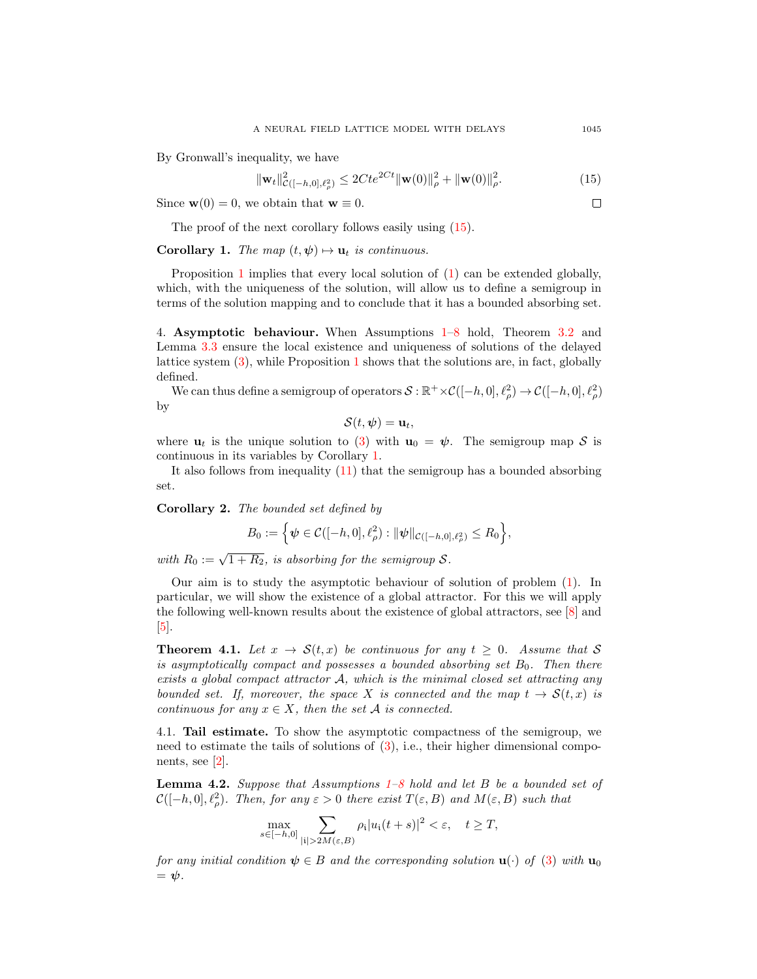By Gronwall's inequality, we have

$$
\|\mathbf{w}_t\|_{\mathcal{C}([-h,0],\ell^2_{\rho})}^2 \le 2Cte^{2Ct} \|\mathbf{w}(0)\|_{\rho}^2 + \|\mathbf{w}(0)\|_{\rho}^2.
$$
 (15)

Since  $\mathbf{w}(0) = 0$ , we obtain that  $\mathbf{w} \equiv 0$ .

The proof of the next corollary follows easily using  $(15)$ .

<span id="page-8-1"></span>**Corollary 1.** The map  $(t, \psi) \mapsto \mathbf{u}_t$  is continuous.

Proposition [1](#page-5-1) implies that every local solution of [\(1\)](#page-1-0) can be extended globally, which, with the uniqueness of the solution, will allow us to define a semigroup in terms of the solution mapping and to conclude that it has a bounded absorbing set.

4. Asymptotic behaviour. When Assumptions [1–](#page-1-2)[8](#page-7-0) hold, Theorem [3.2](#page-4-6) and Lemma [3.3](#page-7-1) ensure the local existence and uniqueness of solutions of the delayed lattice system [\(3\)](#page-3-0), while Proposition [1](#page-5-1) shows that the solutions are, in fact, globally defined.

We can thus define a semigroup of operators  $S: \mathbb{R}^+ \times C([-h, 0], \ell_\rho^2) \to C([-h, 0], \ell_\rho^2)$ by

$$
\mathcal{S}(t,\boldsymbol{\psi})=\mathbf{u}_t,
$$

where  $u_t$  is the unique solution to [\(3\)](#page-3-0) with  $u_0 = \psi$ . The semigroup map S is continuous in its variables by Corollary [1.](#page-8-1)

It also follows from inequality  $(11)$  that the semigroup has a bounded absorbing set.

Corollary 2. The bounded set defined by

$$
B_0 := \Big\{ \psi \in C([-h, 0], \ell_\rho^2) : \|\psi\|_{\mathcal{C}([-h, 0], \ell_\rho^2)} \leq R_0 \Big\},\
$$

with  $R_0 := \sqrt{1 + R_2}$ , is absorbing for the semigroup S.

Our aim is to study the asymptotic behaviour of solution of problem [\(1\)](#page-1-0). In particular, we will show the existence of a global attractor. For this we will apply the following well-known results about the existence of global attractors, see [\[8\]](#page-11-8) and  $\vert 5 \vert$ .

<span id="page-8-2"></span>**Theorem 4.1.** Let  $x \to \mathcal{S}(t, x)$  be continuous for any  $t \geq 0$ . Assume that S is asymptotically compact and possesses a bounded absorbing set  $B_0$ . Then there exists a global compact attractor A, which is the minimal closed set attracting any bounded set. If, moreover, the space X is connected and the map  $t \to \mathcal{S}(t,x)$  is continuous for any  $x \in X$ , then the set A is connected.

4.1. Tail estimate. To show the asymptotic compactness of the semigroup, we need to estimate the tails of solutions of  $(3)$ , i.e., their higher dimensional components, see [\[2\]](#page-11-2).

<span id="page-8-3"></span>**Lemma 4.2.** Suppose that Assumptions  $1-8$  $1-8$  hold and let B be a bounded set of  $\mathcal{C}([-h, 0], \ell_{\rho}^{2})$ . Then, for any  $\varepsilon > 0$  there exist  $T(\varepsilon, B)$  and  $M(\varepsilon, B)$  such that

$$
\max_{s \in [-h,0]} \sum_{|\mathbf{i}| > 2M(\varepsilon,B)} \rho_{\mathbf{i}} |u_{\mathbf{i}}(t+s)|^2 < \varepsilon, \quad t \ge T,
$$

for any initial condition  $\psi \in B$  and the corresponding solution  $\mathbf{u}(\cdot)$  of [\(3\)](#page-3-0) with  $\mathbf{u}_0$  $=$   $\psi$ .

<span id="page-8-0"></span> $\Box$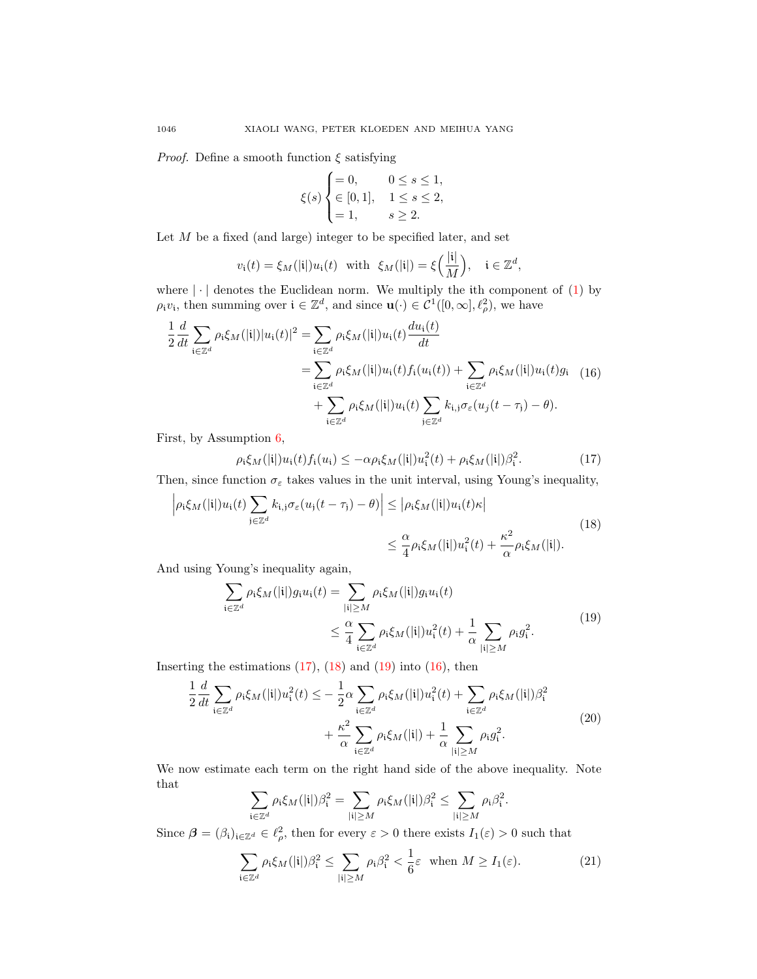*Proof.* Define a smooth function  $\xi$  satisfying

$$
\xi(s) \begin{cases} = 0, & 0 \le s \le 1, \\ \in [0, 1], & 1 \le s \le 2, \\ = 1, & s \ge 2. \end{cases}
$$

Let  $M$  be a fixed (and large) integer to be specified later, and set

$$
v_{\mathfrak{i}}(t) = \xi_M(|\mathfrak{i}|)u_{\mathfrak{i}}(t) \text{ with } \xi_M(|\mathfrak{i}|) = \xi\Big(\frac{|\mathfrak{i}|}{M}\Big), \quad \mathfrak{i} \in \mathbb{Z}^d,
$$

where  $|\cdot|$  denotes the Euclidean norm. We multiply the ith component of [\(1\)](#page-1-0) by  $\rho_i v_i$ , then summing over  $i \in \mathbb{Z}^d$ , and since  $\mathbf{u}(\cdot) \in \overline{\mathcal{C}^1([0,\infty],\ell_\rho^2)}$ , we have

<span id="page-9-3"></span>
$$
\frac{1}{2} \frac{d}{dt} \sum_{\mathbf{i} \in \mathbb{Z}^d} \rho_{\mathbf{i}} \xi_M(|\mathbf{i}|) |u_{\mathbf{i}}(t)|^2 = \sum_{\mathbf{i} \in \mathbb{Z}^d} \rho_{\mathbf{i}} \xi_M(|\mathbf{i}|) u_{\mathbf{i}}(t) \frac{du_{\mathbf{i}}(t)}{dt}
$$
\n
$$
= \sum_{\mathbf{i} \in \mathbb{Z}^d} \rho_{\mathbf{i}} \xi_M(|\mathbf{i}|) u_{\mathbf{i}}(t) f_{\mathbf{i}}(u_{\mathbf{i}}(t)) + \sum_{\mathbf{i} \in \mathbb{Z}^d} \rho_{\mathbf{i}} \xi_M(|\mathbf{i}|) u_{\mathbf{i}}(t) g_{\mathbf{i}} \quad (16)
$$
\n
$$
+ \sum_{\mathbf{i} \in \mathbb{Z}^d} \rho_{\mathbf{i}} \xi_M(|\mathbf{i}|) u_{\mathbf{i}}(t) \sum_{\mathbf{j} \in \mathbb{Z}^d} k_{\mathbf{i},\mathbf{j}} \sigma_{\varepsilon}(u_{\mathbf{j}}(t-\tau_{\mathbf{j}}) - \theta).
$$

First, by Assumption [6,](#page-2-1)

<span id="page-9-0"></span>
$$
\rho_{i}\xi_{M}(|i|)u_{i}(t)f_{i}(u_{i}) \leq -\alpha\rho_{i}\xi_{M}(|i|)u_{i}^{2}(t) + \rho_{i}\xi_{M}(|i|)\beta_{i}^{2}.
$$
 (17)

Then, since function  $\sigma_{\varepsilon}$  takes values in the unit interval, using Young's inequality,

<span id="page-9-1"></span>
$$
\left| \rho_{i}\xi_{M}(|\mathbf{i}|)u_{\mathbf{i}}(t)\sum_{\mathbf{j}\in\mathbb{Z}^{d}}k_{\mathbf{i},\mathbf{j}}\sigma_{\varepsilon}(u_{\mathbf{j}}(t-\tau_{\mathbf{j}})-\theta)\right| \leq \left| \rho_{i}\xi_{M}(|\mathbf{i}|)u_{\mathbf{i}}(t)\kappa\right|
$$
\n
$$
\leq \frac{\alpha}{4}\rho_{i}\xi_{M}(|\mathbf{i}|)u_{\mathbf{i}}^{2}(t)+\frac{\kappa^{2}}{\alpha}\rho_{i}\xi_{M}(|\mathbf{i}|). \tag{18}
$$

<span id="page-9-2"></span>And using Young's inequality again,

$$
\sum_{\mathbf{i}\in\mathbb{Z}^d} \rho_{\mathbf{i}}\xi_M(|\mathbf{i}|)g_{\mathbf{i}}u_{\mathbf{i}}(t) = \sum_{|\mathbf{i}|\geq M} \rho_{\mathbf{i}}\xi_M(|\mathbf{i}|)g_{\mathbf{i}}u_{\mathbf{i}}(t)
$$
\n
$$
\leq \frac{\alpha}{4} \sum_{\mathbf{i}\in\mathbb{Z}^d} \rho_{\mathbf{i}}\xi_M(|\mathbf{i}|)u_{\mathbf{i}}^2(t) + \frac{1}{\alpha} \sum_{|\mathbf{i}|\geq M} \rho_{\mathbf{i}}g_{\mathbf{i}}^2.
$$
\n
$$
(19)
$$

Inserting the estimations  $(17)$ ,  $(18)$  and  $(19)$  into  $(16)$ , then

<span id="page-9-5"></span>
$$
\frac{1}{2}\frac{d}{dt}\sum_{\mathbf{i}\in\mathbb{Z}^d}\rho_{\mathbf{i}}\xi_M(|\mathbf{i}|)u_{\mathbf{i}}^2(t) \leq -\frac{1}{2}\alpha\sum_{\mathbf{i}\in\mathbb{Z}^d}\rho_{\mathbf{i}}\xi_M(|\mathbf{i}|)u_{\mathbf{i}}^2(t) + \sum_{\mathbf{i}\in\mathbb{Z}^d}\rho_{\mathbf{i}}\xi_M(|\mathbf{i}|)\beta_{\mathbf{i}}^2 + \frac{\kappa^2}{\alpha}\sum_{\mathbf{i}\in\mathbb{Z}^d}\rho_{\mathbf{i}}\xi_M(|\mathbf{i}|) + \frac{1}{\alpha}\sum_{|\mathbf{i}|\geq M}\rho_{\mathbf{i}}g_{\mathbf{i}}^2.
$$
\n(20)

We now estimate each term on the right hand side of the above inequality. Note that

$$
\sum_{\mathbf{i}\in\mathbb{Z}^d}\rho_{\mathbf{i}}\xi_M(|\mathbf{i}|)\beta_{\mathbf{i}}^2=\sum_{|\mathbf{i}|\geq M}\rho_{\mathbf{i}}\xi_M(|\mathbf{i}|)\beta_{\mathbf{i}}^2\leq \sum_{|\mathbf{i}|\geq M}\rho_{\mathbf{i}}\beta_{\mathbf{i}}^2.
$$

Since  $\beta = (\beta_i)_{i \in \mathbb{Z}^d} \in \ell^2_\rho$ , then for every  $\varepsilon > 0$  there exists  $I_1(\varepsilon) > 0$  such that

<span id="page-9-4"></span>
$$
\sum_{\mathbf{i}\in\mathbb{Z}^d} \rho_{\mathbf{i}} \xi_M(|\mathbf{i}|) \beta_{\mathbf{i}}^2 \le \sum_{|\mathbf{i}|\ge M} \rho_{\mathbf{i}} \beta_{\mathbf{i}}^2 < \frac{1}{6}\varepsilon \quad \text{when } M \ge I_1(\varepsilon). \tag{21}
$$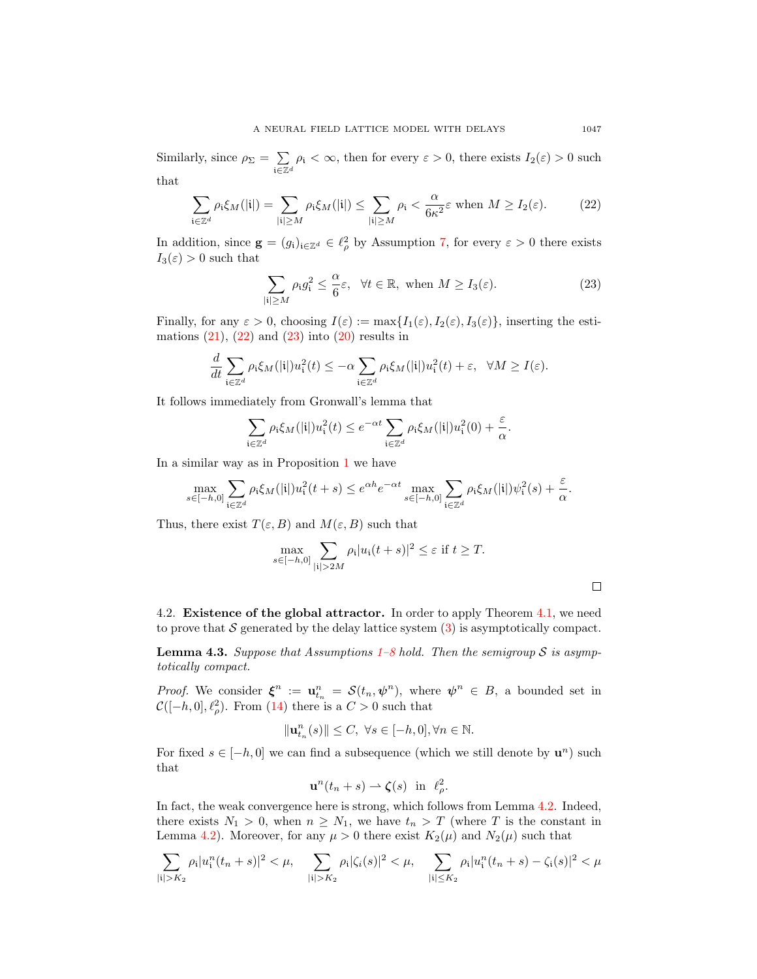Similarly, since  $\rho_{\Sigma} = \sum$  $\mathfrak{i}\overline{\in}\mathbb{Z}^d$  $\rho_i < \infty$ , then for every  $\varepsilon > 0$ , there exists  $I_2(\varepsilon) > 0$  such

that

<span id="page-10-0"></span>
$$
\sum_{\mathbf{i}\in\mathbb{Z}^d} \rho_\mathbf{i}\xi_M(|\mathbf{i}|) = \sum_{|\mathbf{i}|\geq M} \rho_\mathbf{i}\xi_M(|\mathbf{i}|) \leq \sum_{|\mathbf{i}|\geq M} \rho_\mathbf{i} < \frac{\alpha}{6\kappa^2} \varepsilon \text{ when } M \geq I_2(\varepsilon). \tag{22}
$$

In addition, since  $\mathbf{g} = (g_i)_{i \in \mathbb{Z}^d} \in \ell^2_\rho$  by Assumption [7,](#page-3-2) for every  $\varepsilon > 0$  there exists  $I_3(\varepsilon) > 0$  such that

<span id="page-10-1"></span>
$$
\sum_{|i| \ge M} \rho_i g_i^2 \le \frac{\alpha}{6} \varepsilon, \quad \forall t \in \mathbb{R}, \text{ when } M \ge I_3(\varepsilon). \tag{23}
$$

Finally, for any  $\varepsilon > 0$ , choosing  $I(\varepsilon) := \max\{I_1(\varepsilon), I_2(\varepsilon), I_3(\varepsilon)\}\)$ , inserting the estimations  $(21)$ ,  $(22)$  and  $(23)$  into  $(20)$  results in

$$
\frac{d}{dt} \sum_{\mathbf{i}\in\mathbb{Z}^d} \rho_{\mathbf{i}} \xi_M(|\mathbf{i}|) u_{\mathbf{i}}^2(t) \leq -\alpha \sum_{\mathbf{i}\in\mathbb{Z}^d} \rho_{\mathbf{i}} \xi_M(|\mathbf{i}|) u_{\mathbf{i}}^2(t) + \varepsilon, \ \ \forall M \geq I(\varepsilon).
$$

It follows immediately from Gronwall's lemma that

$$
\sum_{\mathbf{i}\in\mathbb{Z}^d} \rho_\mathbf{i}\xi_M(|\mathbf{i}|)u_\mathbf{i}^2(t) \le e^{-\alpha t} \sum_{\mathbf{i}\in\mathbb{Z}^d} \rho_\mathbf{i}\xi_M(|\mathbf{i}|)u_\mathbf{i}^2(0) + \frac{\varepsilon}{\alpha}.
$$

In a similar way as in Proposition [1](#page-5-1) we have

$$
\max_{s \in [-h,0]} \sum_{\mathbf{i} \in \mathbb{Z}^d} \rho_{\mathbf{i}} \xi_M(|\mathbf{i}|) u_{\mathbf{i}}^2(t+s) \le e^{\alpha h} e^{-\alpha t} \max_{s \in [-h,0]} \sum_{\mathbf{i} \in \mathbb{Z}^d} \rho_{\mathbf{i}} \xi_M(|\mathbf{i}|) \psi_{\mathbf{i}}^2(s) + \frac{\varepsilon}{\alpha}.
$$

Thus, there exist  $T(\varepsilon, B)$  and  $M(\varepsilon, B)$  such that

$$
\max_{s \in [-h,0]} \sum_{|\mathbf{i}| > 2M} \rho_{\mathbf{i}} |u_{\mathbf{i}}(t+s)|^2 \leq \varepsilon \text{ if } t \geq T.
$$

4.2. Existence of the global attractor. In order to apply Theorem [4.1,](#page-8-2) we need to prove that S generated by the delay lattice system  $(3)$  is asymptotically compact.

**Lemma 4.3.** Suppose that Assumptions  $1-8$  $1-8$  hold. Then the semigroup S is asymptotically compact.

*Proof.* We consider  $\xi^n := \mathbf{u}_{t_n}^n = \mathcal{S}(t_n, \psi^n)$ , where  $\psi^n \in B$ , a bounded set in  $\mathcal{C}([-h, 0], \ell_\rho^2)$ . From [\(14\)](#page-6-2) there is a  $C > 0$  such that

$$
\|\mathbf{u}_{t_n}^n(s)\| \le C, \ \forall s \in [-h,0], \forall n \in \mathbb{N}.
$$

For fixed  $s \in [-h, 0]$  we can find a subsequence (which we still denote by  $\mathbf{u}^n$ ) such that

$$
\mathbf{u}^n(t_n+s) \rightharpoonup \boldsymbol{\zeta}(s) \quad \text{in} \quad \ell^2_{\rho}.
$$

In fact, the weak convergence here is strong, which follows from Lemma [4.2.](#page-8-3) Indeed, there exists  $N_1 > 0$ , when  $n \geq N_1$ , we have  $t_n > T$  (where T is the constant in Lemma [4.2\)](#page-8-3). Moreover, for any  $\mu > 0$  there exist  $K_2(\mu)$  and  $N_2(\mu)$  such that

$$
\sum_{|i|>K_2} \rho_i |u_i^n(t_n+s)|^2 < \mu, \quad \sum_{|i|>K_2} \rho_i |\zeta_i(s)|^2 < \mu, \quad \sum_{|i|\leq K_2} \rho_i |u_i^n(t_n+s) - \zeta_i(s)|^2 < \mu
$$